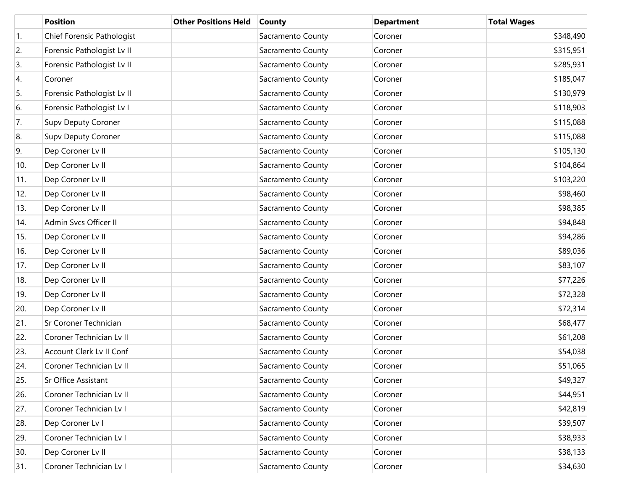|     | <b>Position</b>            | <b>Other Positions Held</b> | <b>County</b>     | <b>Department</b> | <b>Total Wages</b> |
|-----|----------------------------|-----------------------------|-------------------|-------------------|--------------------|
| 1.  | Chief Forensic Pathologist |                             | Sacramento County | Coroner           | \$348,490          |
| 2.  | Forensic Pathologist Lv II |                             | Sacramento County | Coroner           | \$315,951          |
| 3.  | Forensic Pathologist Lv II |                             | Sacramento County | Coroner           | \$285,931          |
| 4.  | Coroner                    |                             | Sacramento County | Coroner           | \$185,047          |
| 5.  | Forensic Pathologist Lv II |                             | Sacramento County | Coroner           | \$130,979          |
| 6.  | Forensic Pathologist Lv I  |                             | Sacramento County | Coroner           | \$118,903          |
| 7.  | Supv Deputy Coroner        |                             | Sacramento County | Coroner           | \$115,088          |
| 8.  | Supv Deputy Coroner        |                             | Sacramento County | Coroner           | \$115,088          |
| 9.  | Dep Coroner Lv II          |                             | Sacramento County | Coroner           | \$105,130          |
| 10. | Dep Coroner Lv II          |                             | Sacramento County | Coroner           | \$104,864          |
| 11. | Dep Coroner Lv II          |                             | Sacramento County | Coroner           | \$103,220          |
| 12. | Dep Coroner Lv II          |                             | Sacramento County | Coroner           | \$98,460           |
| 13. | Dep Coroner Lv II          |                             | Sacramento County | Coroner           | \$98,385           |
| 14. | Admin Svcs Officer II      |                             | Sacramento County | Coroner           | \$94,848           |
| 15. | Dep Coroner Lv II          |                             | Sacramento County | Coroner           | \$94,286           |
| 16. | Dep Coroner Lv II          |                             | Sacramento County | Coroner           | \$89,036           |
| 17. | Dep Coroner Lv II          |                             | Sacramento County | Coroner           | \$83,107           |
| 18. | Dep Coroner Lv II          |                             | Sacramento County | Coroner           | \$77,226           |
| 19. | Dep Coroner Lv II          |                             | Sacramento County | Coroner           | \$72,328           |
| 20. | Dep Coroner Lv II          |                             | Sacramento County | Coroner           | \$72,314           |
| 21. | Sr Coroner Technician      |                             | Sacramento County | Coroner           | \$68,477           |
| 22. | Coroner Technician Lv II   |                             | Sacramento County | Coroner           | \$61,208           |
| 23. | Account Clerk Lv II Conf   |                             | Sacramento County | Coroner           | \$54,038           |
| 24. | Coroner Technician Lv II   |                             | Sacramento County | Coroner           | \$51,065           |
| 25. | Sr Office Assistant        |                             | Sacramento County | Coroner           | \$49,327           |
| 26. | Coroner Technician Lv II   |                             | Sacramento County | Coroner           | \$44,951           |
| 27. | Coroner Technician Lv I    |                             | Sacramento County | Coroner           | \$42,819           |
| 28. | Dep Coroner Lv I           |                             | Sacramento County | Coroner           | \$39,507           |
| 29. | Coroner Technician Lv I    |                             | Sacramento County | Coroner           | \$38,933           |
| 30. | Dep Coroner Lv II          |                             | Sacramento County | Coroner           | \$38,133           |
| 31. | Coroner Technician Lv I    |                             | Sacramento County | Coroner           | \$34,630           |